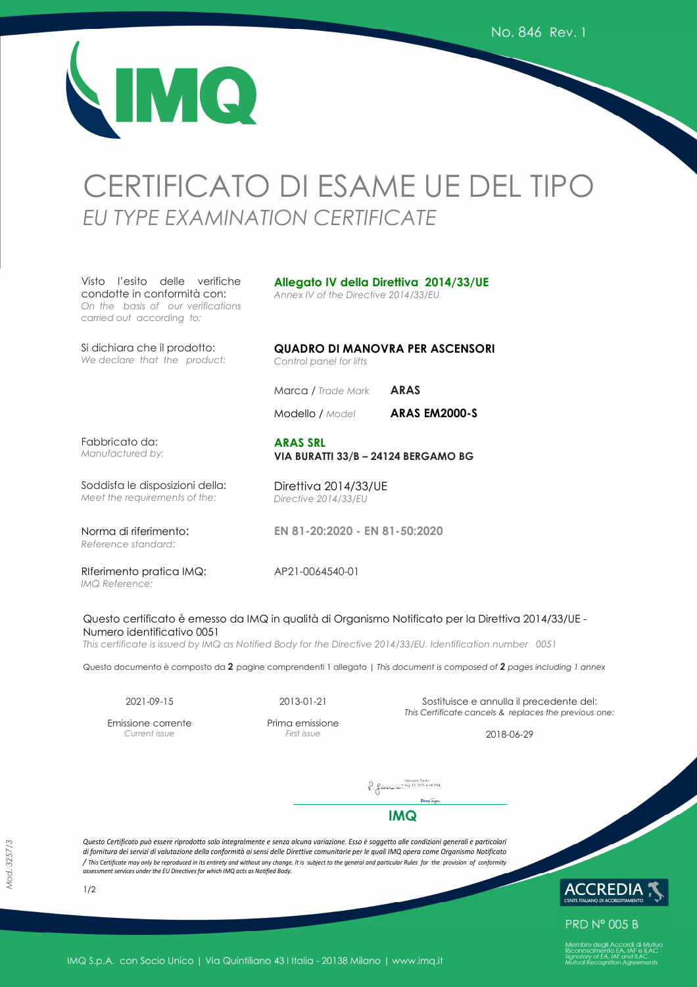MQ

# CERTIFICATO DI ESAME UE DEL TIPO *EU TYPE EXAMINATION CERTIFICATE*

Visto l'esito delle verifiche condotte in conformità con: *On the basis of our verifications carried out according to;*

Si dichiara che il prodotto: *We declare that the product:*

**Allegato IV della Direttiva 2014/33/UE** 

*Annex IV of the Directive 2014/33/EU* 

**QUADRO DI MANOVRA PER ASCENSORI**  *Control panel for lifts*

Marca */ Trade Mark* **ARAS**

Modello / *Model* **ARAS EM2000-S** 

Fabbricato da: *Manufactured by:*

#### **ARAS SRL VIA BURATTI 33/B – 24124 BERGAMO BG**

**EN 81-20:2020 - EN 81-50:2020**

Soddisfa le disposizioni della: *Meet the requirements of the:*

Norma di riferimento: *Reference standard:*

Direttiva 2014/33/UE *Directive 2014/33/EU*

RIferimento pratica IMQ: *IMQ Reference:*

AP21-0064540-01

#### Questo certificato è emesso da IMQ in qualità di Organismo Notificato per la Direttiva 2014/33/UE - Numero identificativo 0051

*This certificate is issued by IMQ as Notified Body for the Directive 2014/33/EU. Identification number 0051*

Questo documento è composto da **2** pagine comprendenti 1 allegato | *This document is composed of 2 pages including 1 annex*

Emissione corrente *Current issue* 

Prima emissione

2021-09-15 2013-01-21 Sostituisce e annulla il precedente del: *This Certificate cancels & replaces the previous one:* 

*First issue* 2018-06-29

 $\bigcap_{\text{Y. } \text{fuseX}_{\text{ref}} \text{not}} \text{Givssani Paolo} \setminus \text{Sep 15 2021 6:00 PM}$ 

**IMQ**

*Questo Certificato può essere riprodotto solo integralmente e senza alcuna variazione. Esso è soggetto alle condizioni generali e particolari di fornitura dei servizi di valutazione della conformità ai sensi delle Direttive comunitarie per le quali IMQ opera come Organismo Notificato / This Certificate may only be reproduced in its entirety and without any change. It is subject to the general and particular Rules for the provision of conformity assessment services under the EU Directives for which IMQ acts as Notified Body.* 



**PRD N° 005 B** 

*Mod. 3257/3*

1/2